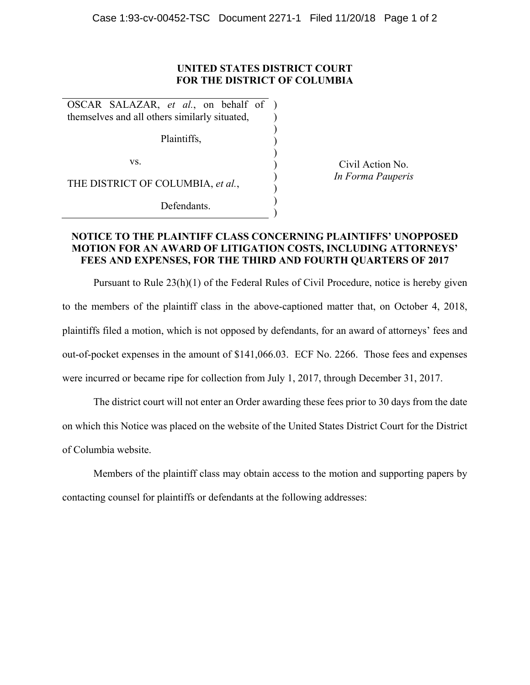## **UNITED STATES DISTRICT COURT FOR THE DISTRICT OF COLUMBIA**

) ) ) ) ) ) ) ) )

OSCAR SALAZAR, *et al.*, on behalf of ) themselves and all others similarly situated,

Plaintiffs,

vs.

THE DISTRICT OF COLUMBIA, *et al.*,

Defendants.

Civil Action No. *In Forma Pauperis* 

## **NOTICE TO THE PLAINTIFF CLASS CONCERNING PLAINTIFFS' UNOPPOSED MOTION FOR AN AWARD OF LITIGATION COSTS, INCLUDING ATTORNEYS' FEES AND EXPENSES, FOR THE THIRD AND FOURTH QUARTERS OF 2017**

Pursuant to Rule 23(h)(1) of the Federal Rules of Civil Procedure, notice is hereby given to the members of the plaintiff class in the above-captioned matter that, on October 4, 2018, plaintiffs filed a motion, which is not opposed by defendants, for an award of attorneys' fees and out-of-pocket expenses in the amount of \$141,066.03. ECF No. 2266. Those fees and expenses were incurred or became ripe for collection from July 1, 2017, through December 31, 2017.

The district court will not enter an Order awarding these fees prior to 30 days from the date on which this Notice was placed on the website of the United States District Court for the District of Columbia website.

Members of the plaintiff class may obtain access to the motion and supporting papers by contacting counsel for plaintiffs or defendants at the following addresses: